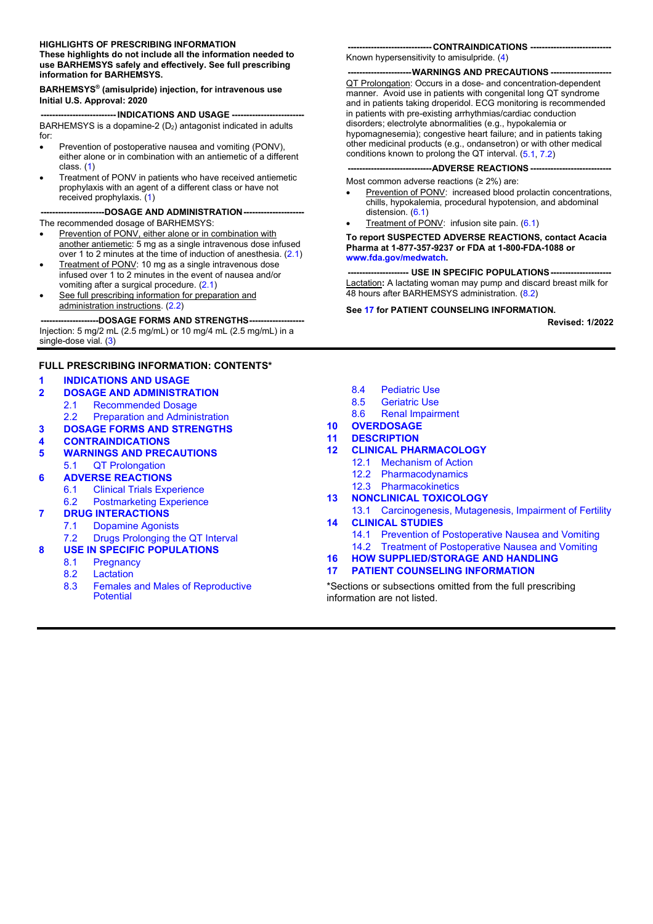#### **HIGHLIGHTS OF PRESCRIBING INFORMATION**

**These highlights do not include all the information needed to use BARHEMSYS safely and effectively. See full prescribing information for BARHEMSYS.**

#### **BARHEMSYS® (amisulpride) injection, for intravenous use Initial U.S. Approval: 2020**

**-------------------------- INDICATIONS AND USAGE -------------------------** BARHEMSYS is a dopamine-2  $(D_2)$  antagonist indicated in adults for:

- Prevention of postoperative nausea and vomiting (PONV), either alone or in combination with an antiemetic of a different class. [\(1\)](#page-1-0)
- Treatment of PONV in patients who have received antiemetic prophylaxis with an agent of a different class or have not received prophylaxis. [\(1\)](#page-1-0)

**----------------------DOSAGE AND ADMINISTRATION---------------------** The recommended dosage of BARHEMSYS:

- Prevention of PONV, either alone or in combination with another antiemetic: 5 mg as a single intravenous dose infused over 1 to 2 minutes at the time of induction of anesthesia. [\(2.1\)](#page-1-1)
- Treatment of PONV: 10 mg as a single intravenous dose infused over 1 to 2 minutes in the event of nausea and/or vomiting after a surgical procedure. [\(2.1\)](#page-1-0)
- See full prescribing information for preparation and administration instructions. [\(2.2\)](#page-1-2)

---DOSAGE FORMS AND STRENGTHS----Injection: 5 mg/2 mL (2.5 mg/mL) or 10 mg/4 mL (2.5 mg/mL) in a single-dose vial. [\(3\)](#page-1-3)

#### **FULL PRESCRIBING INFORMATION: CONTENTS\***

#### **1 [INDICATIONS AND USAGE](#page-1-0)**

#### **2 [DOSAGE AND ADMINISTRATION](#page-1-2)**

- 2.1 [Recommended Dosage](#page-1-2)<br>2.2 Preparation and Adminis
- [Preparation and Administration](#page-1-2)
- **3 [DOSAGE FORMS AND STRENGTHS](#page-1-3)**
- **4 [CONTRAINDICATIONS](#page-1-4)**

#### **5 [WARNINGS AND PRECAUTIONS](#page-2-3)**

- 5.1 [QT Prolongation](#page-2-3)
- **6 [ADVERSE REACTIONS](#page-2-2)**
	- 6.1 [Clinical Trials Experience](#page-2-1)
	- 6.2 [Postmarketing Experience](#page-3-1)

#### **7 [DRUG INTERACTIONS](#page-3-2)**

- 7.1 [Dopamine Agonists](#page-3-2)
- 7.2 [Drugs Prolonging the QT Interval](#page-3-2)
- **8 [USE IN SPECIFIC POPULATIONS](#page-3-3)**
	- **[Pregnancy](#page-3-4)**
	- 8.2 [Lactation](#page-4-0)
	- 8.3 [Females and Males of Reproductive](#page-5-0)  **[Potential](#page-5-0)**

#### **----------------------------- CONTRAINDICATIONS ----------------------------**

Known hypersensitivity to amisulpride. [\(4\)](#page-1-4)

**----------------------WARNINGS AND PRECAUTIONS ---------------------** QT Prolongation: Occurs in a dose- and concentration-dependent manner. Avoid use in patients with congenital long QT syndrome and in patients taking droperidol. ECG monitoring is recommended in patients with pre-existing arrhythmias/cardiac conduction disorders; electrolyte abnormalities (e.g., hypokalemia or hypomagnesemia); congestive heart failure; and in patients taking other medicinal products (e.g., ondansetron) or with other medical conditions known to prolong the QT interval. [\(5.1,](#page-2-0) [7.2\)](#page-3-0)

#### --ADVERSE REACTIONS ---

Most common adverse reactions (≥ 2%) are:

- Prevention of PONV: increased blood prolactin concentrations, chills, hypokalemia, procedural hypotension, and abdominal distension. [\(6.1\)](#page-2-1)
- Treatment of PONV: infusion site pain. [\(6.1\)](#page-2-2)

**To report SUSPECTED ADVERSE REACTIONS, contact Acacia Pharma at 1-877-357-9237 or FDA at 1-800-FDA-1088 or [www.fda.gov/medwatch.](http://www.fda.gov/medwatch)** 

#### **--- USE IN SPECIFIC POPULATIONS ----**

Lactation**:** A lactating woman may pump and discard breast milk for 48 hours after BARHEMSYS administration. [\(8.2\)](#page-4-0)

#### **See [17](#page-11-0) for PATIENT COUNSELING INFORMATION.**

**Revised: 1/2022**

- 8.4 [Pediatric Use](#page-5-1)<br>8.5 Geriatric Use
- 8.5 [Geriatric Use](#page-5-2)<br>8.6 Renal Impairr
- [Renal Impairment](#page-5-3)
- **10 [OVERDOSAGE](#page-5-4)**
- **11 [DESCRIPTION](#page-6-0)**
- **12 [CLINICAL PHARMACOLOGY](#page-6-1)**
	- **[Mechanism of Action](#page-6-2)**
	- 12.2 [Pharmacodynamics](#page-7-0)
	- 12.3 [Pharmacokinetics](#page-7-1)
- **13 [NONCLINICAL TOXICOLOGY](#page-9-0)**
- 13.1 [Carcinogenesis, Mutagenesis, Impairment of Fertility](#page-9-0) **14 [CLINICAL STUDIES](#page-9-1)**
	- 14.1 [Prevention of Postoperative Nausea and Vomiting](#page-9-2)
	- 14.2 [Treatment of Postoperative Nausea and Vomiting](#page-10-0)
- **16 [HOW SUPPLIED/STORAGE AND HANDLING](#page-11-1)**
- **17 [PATIENT COUNSELING INFORMATION](#page-11-0)**

\*Sections or subsections omitted from the full prescribing information are not listed.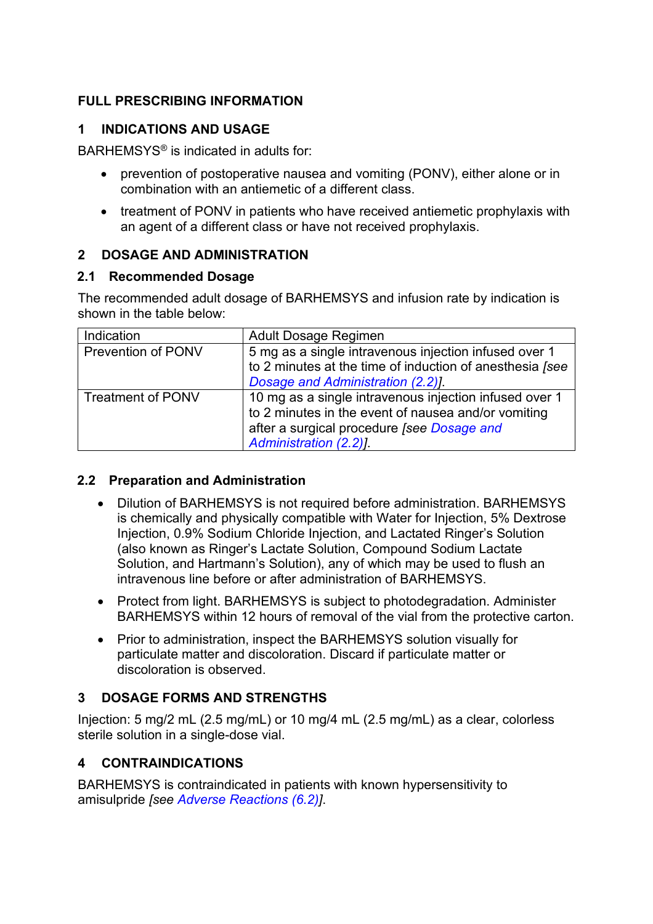# **FULL PRESCRIBING INFORMATION**

## <span id="page-1-0"></span>**1 INDICATIONS AND USAGE**

BARHEMSYS® is indicated in adults for:

- prevention of postoperative nausea and vomiting (PONV), either alone or in combination with an antiemetic of a different class.
- treatment of PONV in patients who have received antiemetic prophylaxis with an agent of a different class or have not received prophylaxis.

## <span id="page-1-2"></span>**2 DOSAGE AND ADMINISTRATION**

## <span id="page-1-1"></span>**2.1 Recommended Dosage**

The recommended adult dosage of BARHEMSYS and infusion rate by indication is shown in the table below:

| Indication                | Adult Dosage Regimen                                                                                                                                                                  |  |  |  |
|---------------------------|---------------------------------------------------------------------------------------------------------------------------------------------------------------------------------------|--|--|--|
| <b>Prevention of PONV</b> | 5 mg as a single intravenous injection infused over 1<br>to 2 minutes at the time of induction of anesthesia [see<br>Dosage and Administration (2.2)].                                |  |  |  |
| <b>Treatment of PONV</b>  | 10 mg as a single intravenous injection infused over 1<br>to 2 minutes in the event of nausea and/or vomiting<br>after a surgical procedure [see Dosage and<br>Administration (2.2)]. |  |  |  |

## <span id="page-1-5"></span>**2.2 Preparation and Administration**

- Dilution of BARHEMSYS is not required before administration. BARHEMSYS is chemically and physically compatible with Water for Injection, 5% Dextrose Injection, 0.9% Sodium Chloride Injection, and Lactated Ringer's Solution (also known as Ringer's Lactate Solution, Compound Sodium Lactate Solution, and Hartmann's Solution), any of which may be used to flush an intravenous line before or after administration of BARHEMSYS.
- Protect from light. BARHEMSYS is subject to photodegradation. Administer BARHEMSYS within 12 hours of removal of the vial from the protective carton.
- Prior to administration, inspect the BARHEMSYS solution visually for particulate matter and discoloration. Discard if particulate matter or discoloration is observed.

# <span id="page-1-3"></span>**3 DOSAGE FORMS AND STRENGTHS**

Injection: 5 mg/2 mL (2.5 mg/mL) or 10 mg/4 mL (2.5 mg/mL) as a clear, colorless sterile solution in a single-dose vial.

## <span id="page-1-4"></span>**4 CONTRAINDICATIONS**

BARHEMSYS is contraindicated in patients with known hypersensitivity to amisulpride *[see [Adverse Reactions \(6.2\)\]](#page-3-1)*.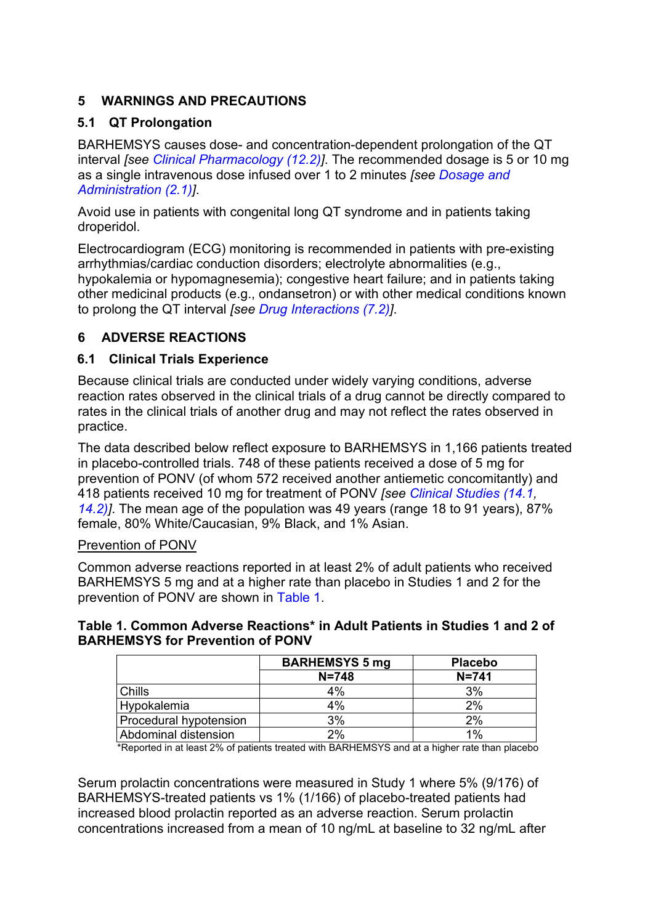# <span id="page-2-3"></span>**5 WARNINGS AND PRECAUTIONS**

## <span id="page-2-0"></span>**5.1 QT Prolongation**

BARHEMSYS causes dose- and concentration-dependent prolongation of the QT interval *[see [Clinical Pharmacology \(12.2\)\]](#page-7-0)*. The recommended dosage is 5 or 10 mg as a single intravenous dose infused over 1 to 2 minutes *[see [Dosage and](#page-1-2)  [Administration \(2.1\)\]](#page-1-2)*.

Avoid use in patients with congenital long QT syndrome and in patients taking droperidol.

Electrocardiogram (ECG) monitoring is recommended in patients with pre-existing arrhythmias/cardiac conduction disorders; electrolyte abnormalities (e.g., hypokalemia or hypomagnesemia); congestive heart failure; and in patients taking other medicinal products (e.g., ondansetron) or with other medical conditions known to prolong the QT interval *[see [Drug Interactions \(7.2\)\]](#page-3-2)*.

# <span id="page-2-2"></span>**6 ADVERSE REACTIONS**

## <span id="page-2-1"></span>**6.1 Clinical Trials Experience**

Because clinical trials are conducted under widely varying conditions, adverse reaction rates observed in the clinical trials of a drug cannot be directly compared to rates in the clinical trials of another drug and may not reflect the rates observed in practice.

The data described below reflect exposure to BARHEMSYS in 1,166 patients treated in placebo-controlled trials. 748 of these patients received a dose of 5 mg for prevention of PONV (of whom 572 received another antiemetic concomitantly) and 418 patients received 10 mg for treatment of PONV *[see [Clinical Studies \(14.1,](#page-9-2) [14.2\)\]](#page-10-0)*. The mean age of the population was 49 years (range 18 to 91 years), 87% female, 80% White/Caucasian, 9% Black, and 1% Asian.

#### Prevention of PONV

Common adverse reactions reported in at least 2% of adult patients who received BARHEMSYS 5 mg and at a higher rate than placebo in Studies 1 and 2 for the prevention of PONV are shown in Table 1.

### **Table 1. Common Adverse Reactions\* in Adult Patients in Studies 1 and 2 of BARHEMSYS for Prevention of PONV**

|                        | <b>BARHEMSYS 5 mg</b> | <b>Placebo</b> |
|------------------------|-----------------------|----------------|
|                        | $N = 748$             | $N = 741$      |
| Chills                 | 4%                    | 3%             |
| <b>Hypokalemia</b>     | 4%                    | 2%             |
| Procedural hypotension | 3%                    | 2%             |
| Abdominal distension   | 2%                    | 1%             |

\*Reported in at least 2% of patients treated with BARHEMSYS and at a higher rate than placebo

Serum prolactin concentrations were measured in Study 1 where 5% (9/176) of BARHEMSYS-treated patients vs 1% (1/166) of placebo-treated patients had increased blood prolactin reported as an adverse reaction. Serum prolactin concentrations increased from a mean of 10 ng/mL at baseline to 32 ng/mL after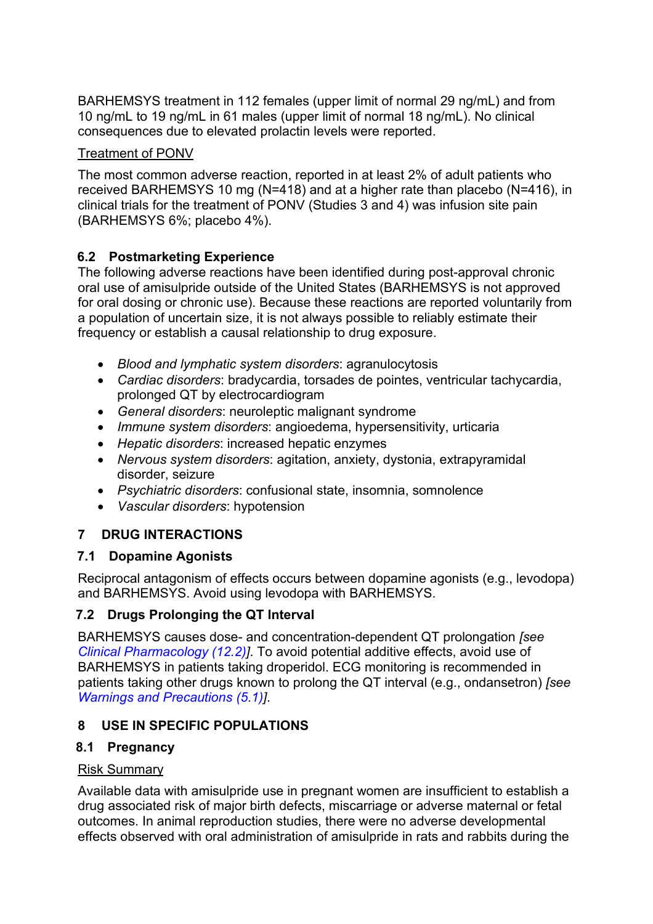BARHEMSYS treatment in 112 females (upper limit of normal 29 ng/mL) and from 10 ng/mL to 19 ng/mL in 61 males (upper limit of normal 18 ng/mL). No clinical consequences due to elevated prolactin levels were reported.

## Treatment of PONV

The most common adverse reaction, reported in at least 2% of adult patients who received BARHEMSYS 10 mg (N=418) and at a higher rate than placebo (N=416), in clinical trials for the treatment of PONV (Studies 3 and 4) was infusion site pain (BARHEMSYS 6%; placebo 4%).

# <span id="page-3-1"></span>**6.2 Postmarketing Experience**

The following adverse reactions have been identified during post-approval chronic oral use of amisulpride outside of the United States (BARHEMSYS is not approved for oral dosing or chronic use). Because these reactions are reported voluntarily from a population of uncertain size, it is not always possible to reliably estimate their frequency or establish a causal relationship to drug exposure.

- *Blood and lymphatic system disorders*: agranulocytosis
- *Cardiac disorders*: bradycardia, torsades de pointes, ventricular tachycardia, prolonged QT by electrocardiogram
- *General disorders*: neuroleptic malignant syndrome
- *Immune system disorders*: angioedema, hypersensitivity, urticaria
- *Hepatic disorders*: increased hepatic enzymes
- *Nervous system disorders*: agitation, anxiety, dystonia, extrapyramidal disorder, seizure
- *Psychiatric disorders*: confusional state, insomnia, somnolence
- *Vascular disorders*: hypotension

# <span id="page-3-2"></span>**7 DRUG INTERACTIONS**

## **7.1 Dopamine Agonists**

Reciprocal antagonism of effects occurs between dopamine agonists (e.g., levodopa) and BARHEMSYS. Avoid using levodopa with BARHEMSYS.

# <span id="page-3-0"></span>**7.2 Drugs Prolonging the QT Interval**

BARHEMSYS causes dose- and concentration-dependent QT prolongation *[\[see](#page-7-0)  [Clinical Pharmacology \(12.2\)\]](#page-7-0)*. To avoid potential additive effects, avoid use of BARHEMSYS in patients taking droperidol. ECG monitoring is recommended in patients taking other drugs known to prolong the QT interval (e.g., ondansetron) *[see [Warnings and Precautions \(5.1\)\]](#page-2-3)*.

# <span id="page-3-3"></span>**8 USE IN SPECIFIC POPULATIONS**

## <span id="page-3-4"></span>**8.1 Pregnancy**

## Risk Summary

Available data with amisulpride use in pregnant women are insufficient to establish a drug associated risk of major birth defects, miscarriage or adverse maternal or fetal outcomes. In animal reproduction studies, there were no adverse developmental effects observed with oral administration of amisulpride in rats and rabbits during the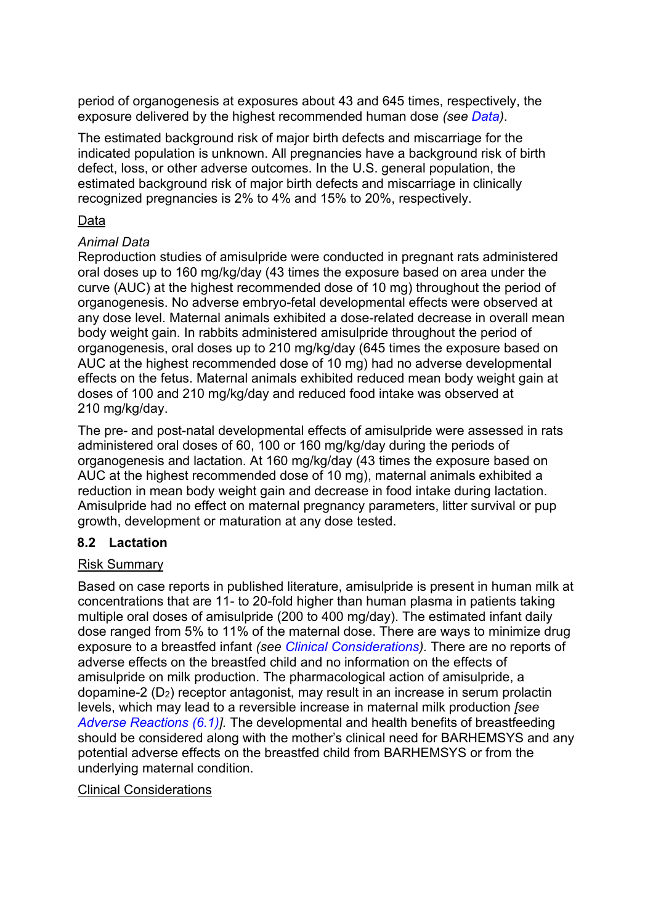period of organogenesis at exposures about 43 and 645 times, respectively, the exposure delivered by the highest recommended human dose *(see Data)*.

The estimated background risk of major birth defects and miscarriage for the indicated population is unknown. All pregnancies have a background risk of birth defect, loss, or other adverse outcomes. In the U.S. general population, the estimated background risk of major birth defects and miscarriage in clinically recognized pregnancies is 2% to 4% and 15% to 20%, respectively.

### Data

#### *Animal Data*

Reproduction studies of amisulpride were conducted in pregnant rats administered oral doses up to 160 mg/kg/day (43 times the exposure based on area under the curve (AUC) at the highest recommended dose of 10 mg) throughout the period of organogenesis. No adverse embryo-fetal developmental effects were observed at any dose level. Maternal animals exhibited a dose-related decrease in overall mean body weight gain. In rabbits administered amisulpride throughout the period of organogenesis, oral doses up to 210 mg/kg/day (645 times the exposure based on AUC at the highest recommended dose of 10 mg) had no adverse developmental effects on the fetus. Maternal animals exhibited reduced mean body weight gain at doses of 100 and 210 mg/kg/day and reduced food intake was observed at 210 mg/kg/day.

The pre- and post-natal developmental effects of amisulpride were assessed in rats administered oral doses of 60, 100 or 160 mg/kg/day during the periods of organogenesis and lactation. At 160 mg/kg/day (43 times the exposure based on AUC at the highest recommended dose of 10 mg), maternal animals exhibited a reduction in mean body weight gain and decrease in food intake during lactation. Amisulpride had no effect on maternal pregnancy parameters, litter survival or pup growth, development or maturation at any dose tested.

## <span id="page-4-0"></span>**8.2 Lactation**

#### Risk Summary

Based on case reports in published literature, amisulpride is present in human milk at concentrations that are 11- to 20-fold higher than human plasma in patients taking multiple oral doses of amisulpride (200 to 400 mg/day). The estimated infant daily dose ranged from 5% to 11% of the maternal dose. There are ways to minimize drug exposure to a breastfed infant *(see Clinical Considerations).* There are no reports of adverse effects on the breastfed child and no information on the effects of amisulpride on milk production. The pharmacological action of amisulpride, a dopamine-2 (D2) receptor antagonist, may result in an increase in serum prolactin levels, which may lead to a reversible increase in maternal milk production *[see [Adverse Reactions \(6.1\)\]](#page-2-2).* The developmental and health benefits of breastfeeding should be considered along with the mother's clinical need for BARHEMSYS and any potential adverse effects on the breastfed child from BARHEMSYS or from the underlying maternal condition.

#### Clinical Considerations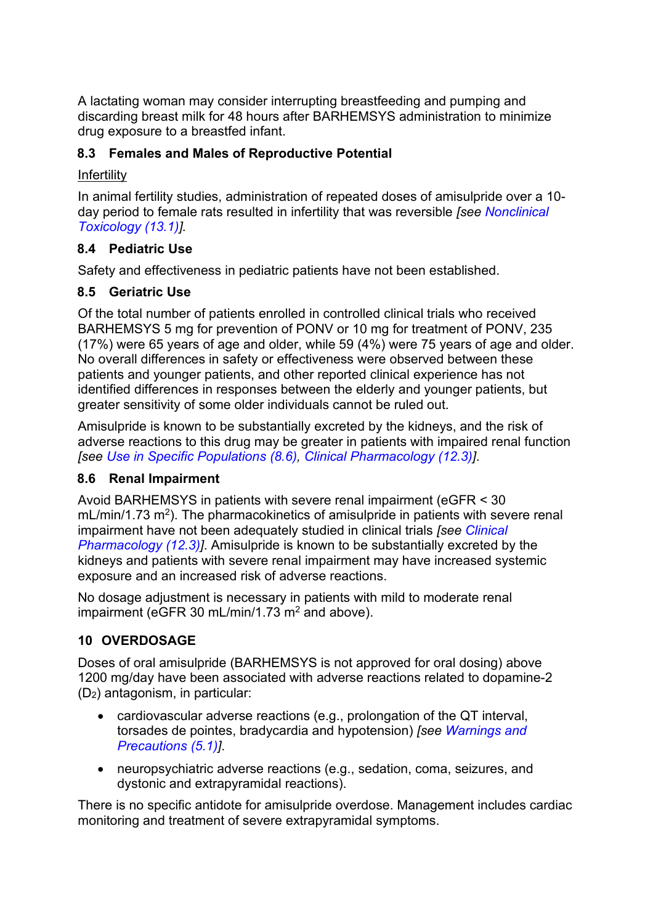A lactating woman may consider interrupting breastfeeding and pumping and discarding breast milk for 48 hours after BARHEMSYS administration to minimize drug exposure to a breastfed infant.

# <span id="page-5-0"></span>**8.3 Females and Males of Reproductive Potential**

### Infertility

In animal fertility studies, administration of repeated doses of amisulpride over a 10 day period to female rats resulted in infertility that was reversible *[see [Nonclinical](#page-9-3)  [Toxicology \(13.1\)\]](#page-9-3).*

# <span id="page-5-1"></span>**8.4 Pediatric Use**

Safety and effectiveness in pediatric patients have not been established.

# <span id="page-5-2"></span>**8.5 Geriatric Use**

Of the total number of patients enrolled in controlled clinical trials who received BARHEMSYS 5 mg for prevention of PONV or 10 mg for treatment of PONV, 235 (17%) were 65 years of age and older, while 59 (4%) were 75 years of age and older. No overall differences in safety or effectiveness were observed between these patients and younger patients, and other reported clinical experience has not identified differences in responses between the elderly and younger patients, but greater sensitivity of some older individuals cannot be ruled out.

Amisulpride is known to be substantially excreted by the kidneys, and the risk of adverse reactions to this drug may be greater in patients with impaired renal function *[see [Use in Specific Populations](#page-5-3) (8.6), [Clinical Pharmacology \(12.3\)\]](#page-7-1)*.

# <span id="page-5-3"></span>**8.6 Renal Impairment**

Avoid BARHEMSYS in patients with severe renal impairment (eGFR < 30  $mL/min/1.73$  m<sup>2</sup>). The pharmacokinetics of amisulpride in patients with severe renal impairment have not been adequately studied in clinical trials *[see [Clinical](#page-7-1)  [Pharmacology \(12.3\)\]](#page-7-1)*. Amisulpride is known to be substantially excreted by the kidneys and patients with severe renal impairment may have increased systemic exposure and an increased risk of adverse reactions.

No dosage adjustment is necessary in patients with mild to moderate renal impairment (eGFR 30 mL/min/1.73 m<sup>2</sup> and above).

# <span id="page-5-4"></span>**10 OVERDOSAGE**

Doses of oral amisulpride (BARHEMSYS is not approved for oral dosing) above 1200 mg/day have been associated with adverse reactions related to dopamine-2 (D2) antagonism, in particular:

- cardiovascular adverse reactions (e.g., prolongation of the QT interval, torsades de pointes, bradycardia and hypotension) *[see [Warnings and](#page-2-3)  [Precautions \(5.1\)\]](#page-2-3)*.
- neuropsychiatric adverse reactions (e.g., sedation, coma, seizures, and dystonic and extrapyramidal reactions).

There is no specific antidote for amisulpride overdose. Management includes cardiac monitoring and treatment of severe extrapyramidal symptoms.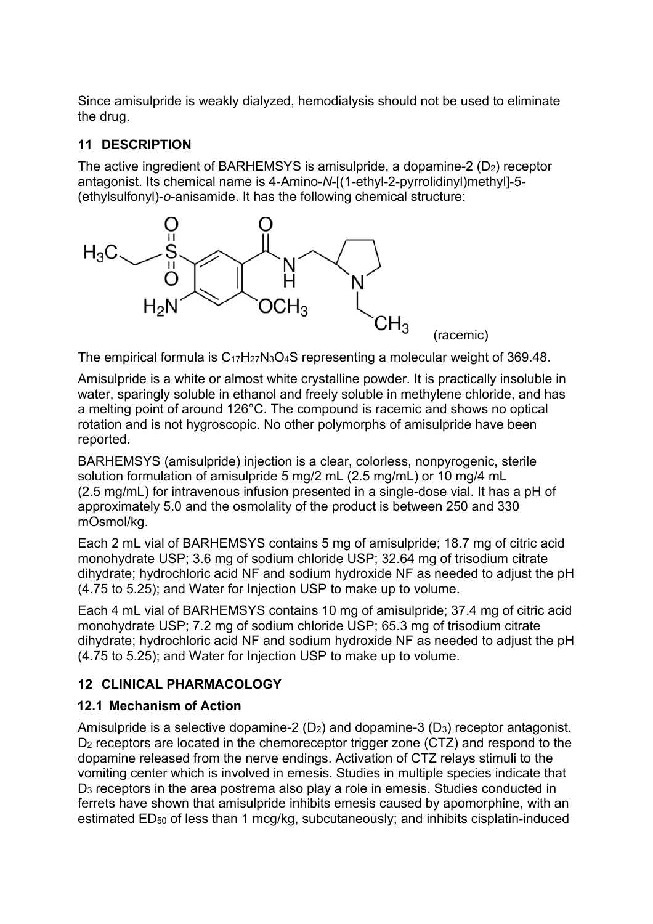Since amisulpride is weakly dialyzed, hemodialysis should not be used to eliminate the drug.

# <span id="page-6-0"></span>**11 DESCRIPTION**

The active ingredient of BARHEMSYS is amisulpride, a dopamine-2  $(D_2)$  receptor antagonist. Its chemical name is 4-Amino-*N*-[(1-ethyl-2-pyrrolidinyl)methyl]-5- (ethylsulfonyl)-*o*-anisamide. It has the following chemical structure:



The empirical formula is  $C_{17}H_{27}N_3O_4S$  representing a molecular weight of 369.48.

Amisulpride is a white or almost white crystalline powder. It is practically insoluble in water, sparingly soluble in ethanol and freely soluble in methylene chloride, and has a melting point of around 126°C. The compound is racemic and shows no optical rotation and is not hygroscopic. No other polymorphs of amisulpride have been reported.

BARHEMSYS (amisulpride) injection is a clear, colorless, nonpyrogenic, sterile solution formulation of amisulpride 5 mg/2 mL (2.5 mg/mL) or 10 mg/4 mL (2.5 mg/mL) for intravenous infusion presented in a single-dose vial. It has a pH of approximately 5.0 and the osmolality of the product is between 250 and 330 mOsmol/kg.

Each 2 mL vial of BARHEMSYS contains 5 mg of amisulpride; 18.7 mg of citric acid monohydrate USP; 3.6 mg of sodium chloride USP; 32.64 mg of trisodium citrate dihydrate; hydrochloric acid NF and sodium hydroxide NF as needed to adjust the pH (4.75 to 5.25); and Water for Injection USP to make up to volume.

Each 4 mL vial of BARHEMSYS contains 10 mg of amisulpride; 37.4 mg of citric acid monohydrate USP; 7.2 mg of sodium chloride USP; 65.3 mg of trisodium citrate dihydrate; hydrochloric acid NF and sodium hydroxide NF as needed to adjust the pH (4.75 to 5.25); and Water for Injection USP to make up to volume.

# <span id="page-6-1"></span>**12 CLINICAL PHARMACOLOGY**

## <span id="page-6-2"></span>**12.1 Mechanism of Action**

Amisulpride is a selective dopamine-2  $(D_2)$  and dopamine-3  $(D_3)$  receptor antagonist. D<sub>2</sub> receptors are located in the chemoreceptor trigger zone (CTZ) and respond to the dopamine released from the nerve endings. Activation of CTZ relays stimuli to the vomiting center which is involved in emesis. Studies in multiple species indicate that D3 receptors in the area postrema also play a role in emesis. Studies conducted in ferrets have shown that amisulpride inhibits emesis caused by apomorphine, with an estimated ED<sub>50</sub> of less than 1 mcg/kg, subcutaneously; and inhibits cisplatin-induced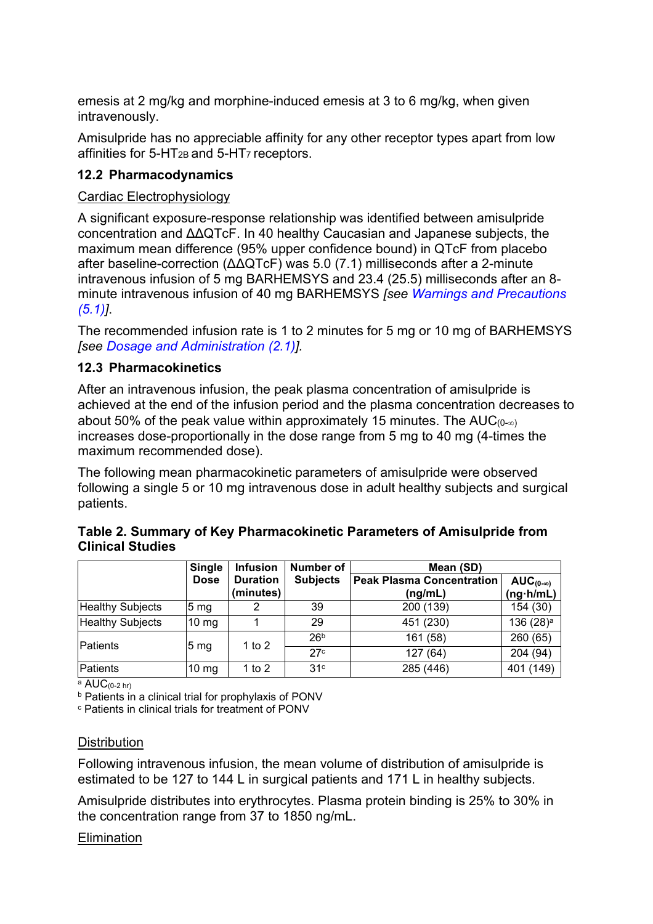emesis at 2 mg/kg and morphine-induced emesis at 3 to 6 mg/kg, when given intravenously.

Amisulpride has no appreciable affinity for any other receptor types apart from low affinities for  $5-HT_{2B}$  and  $5-HT_{7}$  receptors.

## <span id="page-7-0"></span>**12.2 Pharmacodynamics**

## Cardiac Electrophysiology

A significant exposure-response relationship was identified between amisulpride concentration and ΔΔQTcF. In 40 healthy Caucasian and Japanese subjects, the maximum mean difference (95% upper confidence bound) in QTcF from placebo after baseline-correction (ΔΔQTcF) was 5.0 (7.1) milliseconds after a 2-minute intravenous infusion of 5 mg BARHEMSYS and 23.4 (25.5) milliseconds after an 8 minute intravenous infusion of 40 mg BARHEMSYS *[see [Warnings and Precautions](#page-2-0)  [\(5.1\)\]](#page-2-0)*.

The recommended infusion rate is 1 to 2 minutes for 5 mg or 10 mg of BARHEMSYS *[see [Dosage and Administration \(2.1\)\]](#page-1-2).*

# <span id="page-7-1"></span>**12.3 Pharmacokinetics**

After an intravenous infusion, the peak plasma concentration of amisulpride is achieved at the end of the infusion period and the plasma concentration decreases to about 50% of the peak value within approximately 15 minutes. The  $AUC_{(0-\infty)}$ increases dose-proportionally in the dose range from 5 mg to 40 mg (4-times the maximum recommended dose).

The following mean pharmacokinetic parameters of amisulpride were observed following a single 5 or 10 mg intravenous dose in adult healthy subjects and surgical patients.

|                         | <b>Single</b>   | <b>Infusion</b>              | Number of       | Mean (SD)                                   |                                         |  |
|-------------------------|-----------------|------------------------------|-----------------|---------------------------------------------|-----------------------------------------|--|
|                         | <b>Dose</b>     | <b>Duration</b><br>(minutes) | <b>Subjects</b> | <b>Peak Plasma Concentration</b><br>(ng/mL) | $AUC_{(0-\infty)}$<br>$(ng \cdot h/mL)$ |  |
| <b>Healthy Subjects</b> | 5 <sub>mg</sub> |                              | 39              | 200 (139)                                   | 154 (30)                                |  |
| <b>Healthy Subjects</b> | $10 \text{ mg}$ |                              | 29              | 451 (230)                                   | 136 (28) <sup>a</sup>                   |  |
| <b>Patients</b>         |                 | 1 to $2$                     | 26 <sup>b</sup> | 161 (58)                                    | 260 (65)                                |  |
|                         | 5 <sub>mg</sub> |                              | 27c             | 127(64)                                     | 204 (94)                                |  |
| Patients                | $10 \text{ mg}$ | 1 to $2$                     | 31 <sup>c</sup> | 285 (446)                                   | 401 (149)                               |  |

| Table 2. Summary of Key Pharmacokinetic Parameters of Amisulpride from |  |
|------------------------------------------------------------------------|--|
| <b>Clinical Studies</b>                                                |  |

 $a$  AUC $(0-2)$  hr)

<sup>b</sup> Patients in a clinical trial for prophylaxis of PONV

<sup>c</sup> Patients in clinical trials for treatment of PONV

## **Distribution**

Following intravenous infusion, the mean volume of distribution of amisulpride is estimated to be 127 to 144 L in surgical patients and 171 L in healthy subjects.

Amisulpride distributes into erythrocytes. Plasma protein binding is 25% to 30% in the concentration range from 37 to 1850 ng/mL.

#### **Elimination**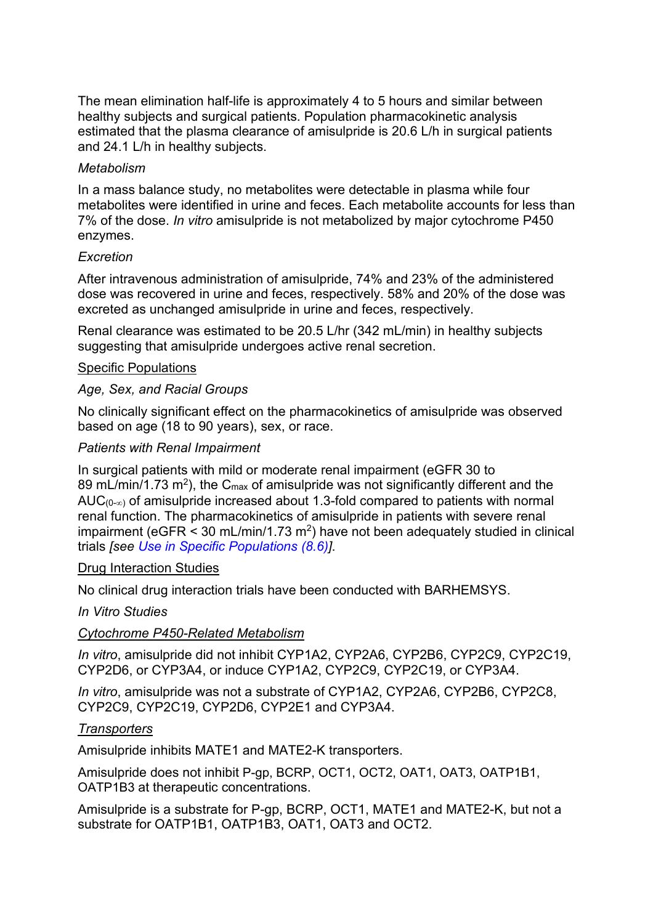The mean elimination half-life is approximately 4 to 5 hours and similar between healthy subjects and surgical patients. Population pharmacokinetic analysis estimated that the plasma clearance of amisulpride is 20.6 L/h in surgical patients and 24.1 L/h in healthy subjects.

#### *Metabolism*

In a mass balance study, no metabolites were detectable in plasma while four metabolites were identified in urine and feces. Each metabolite accounts for less than 7% of the dose. *In vitro* amisulpride is not metabolized by major cytochrome P450 enzymes.

### *Excretion*

After intravenous administration of amisulpride, 74% and 23% of the administered dose was recovered in urine and feces, respectively. 58% and 20% of the dose was excreted as unchanged amisulpride in urine and feces, respectively.

Renal clearance was estimated to be 20.5 L/hr (342 mL/min) in healthy subjects suggesting that amisulpride undergoes active renal secretion.

#### Specific Populations

### *Age, Sex, and Racial Groups*

No clinically significant effect on the pharmacokinetics of amisulpride was observed based on age (18 to 90 years), sex, or race.

#### *Patients with Renal Impairment*

In surgical patients with mild or moderate renal impairment (eGFR 30 to 89 mL/min/1.73 m<sup>2</sup>), the C<sub>max</sub> of amisulpride was not significantly different and the AUC $(0, \infty)$  of amisulpride increased about 1.3-fold compared to patients with normal renal function. The pharmacokinetics of amisulpride in patients with severe renal impairment (eGFR  $\leq$  30 mL/min/1.73 m<sup>2</sup>) have not been adequately studied in clinical trials *[\[see Use in Specific Populations \(8.6\)\]](#page-5-3)*.

#### Drug Interaction Studies

No clinical drug interaction trials have been conducted with BARHEMSYS.

#### *In Vitro Studies*

#### *Cytochrome P450-Related Metabolism*

*In vitro*, amisulpride did not inhibit CYP1A2, CYP2A6, CYP2B6, CYP2C9, CYP2C19, CYP2D6, or CYP3A4, or induce CYP1A2, CYP2C9, CYP2C19, or CYP3A4.

*In vitro*, amisulpride was not a substrate of CYP1A2, CYP2A6, CYP2B6, CYP2C8, CYP2C9, CYP2C19, CYP2D6, CYP2E1 and CYP3A4.

#### *Transporters*

Amisulpride inhibits MATE1 and MATE2-K transporters.

Amisulpride does not inhibit P-gp, BCRP, OCT1, OCT2, OAT1, OAT3, OATP1B1, OATP1B3 at therapeutic concentrations.

Amisulpride is a substrate for P-gp, BCRP, OCT1, MATE1 and MATE2-K, but not a substrate for OATP1B1, OATP1B3, OAT1, OAT3 and OCT2.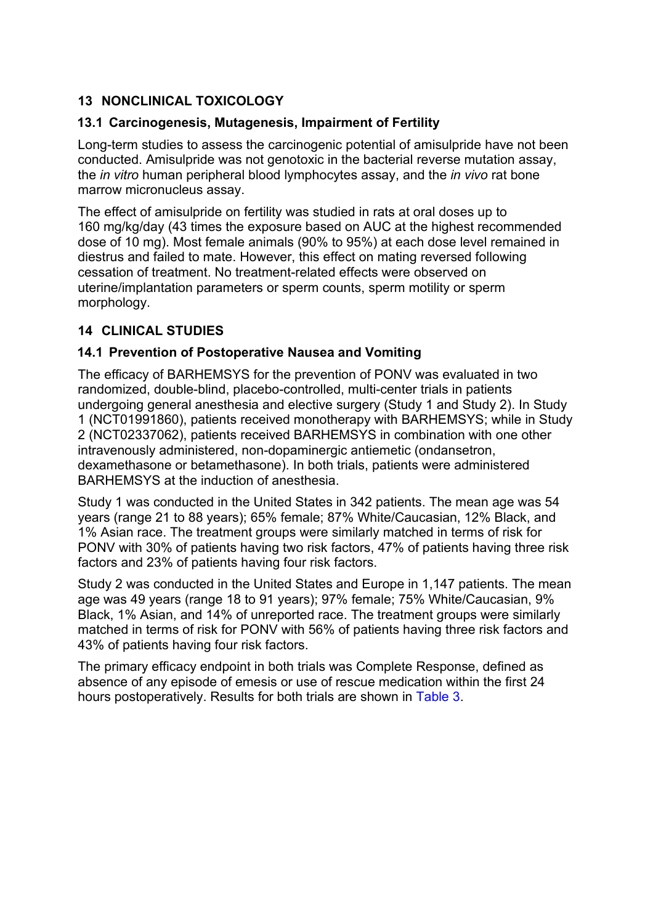# <span id="page-9-3"></span>**13 NONCLINICAL TOXICOLOGY**

## <span id="page-9-0"></span>**13.1 Carcinogenesis, Mutagenesis, Impairment of Fertility**

Long-term studies to assess the carcinogenic potential of amisulpride have not been conducted. Amisulpride was not genotoxic in the bacterial reverse mutation assay, the *in vitro* human peripheral blood lymphocytes assay, and the *in vivo* rat bone marrow micronucleus assay.

The effect of amisulpride on fertility was studied in rats at oral doses up to 160 mg/kg/day (43 times the exposure based on AUC at the highest recommended dose of 10 mg). Most female animals (90% to 95%) at each dose level remained in diestrus and failed to mate. However, this effect on mating reversed following cessation of treatment. No treatment-related effects were observed on uterine/implantation parameters or sperm counts, sperm motility or sperm morphology.

## <span id="page-9-1"></span>**14 CLINICAL STUDIES**

## <span id="page-9-2"></span>**14.1 Prevention of Postoperative Nausea and Vomiting**

The efficacy of BARHEMSYS for the prevention of PONV was evaluated in two randomized, double-blind, placebo-controlled, multi-center trials in patients undergoing general anesthesia and elective surgery (Study 1 and Study 2). In Study 1 (NCT01991860), patients received monotherapy with BARHEMSYS; while in Study 2 (NCT02337062), patients received BARHEMSYS in combination with one other intravenously administered, non-dopaminergic antiemetic (ondansetron, dexamethasone or betamethasone). In both trials, patients were administered BARHEMSYS at the induction of anesthesia.

Study 1 was conducted in the United States in 342 patients. The mean age was 54 years (range 21 to 88 years); 65% female; 87% White/Caucasian, 12% Black, and 1% Asian race. The treatment groups were similarly matched in terms of risk for PONV with 30% of patients having two risk factors, 47% of patients having three risk factors and 23% of patients having four risk factors.

Study 2 was conducted in the United States and Europe in 1,147 patients. The mean age was 49 years (range 18 to 91 years); 97% female; 75% White/Caucasian, 9% Black, 1% Asian, and 14% of unreported race. The treatment groups were similarly matched in terms of risk for PONV with 56% of patients having three risk factors and 43% of patients having four risk factors.

The primary efficacy endpoint in both trials was Complete Response, defined as absence of any episode of emesis or use of rescue medication within the first 24 hours postoperatively. Results for both trials are shown in [Table 3.](#page-10-1)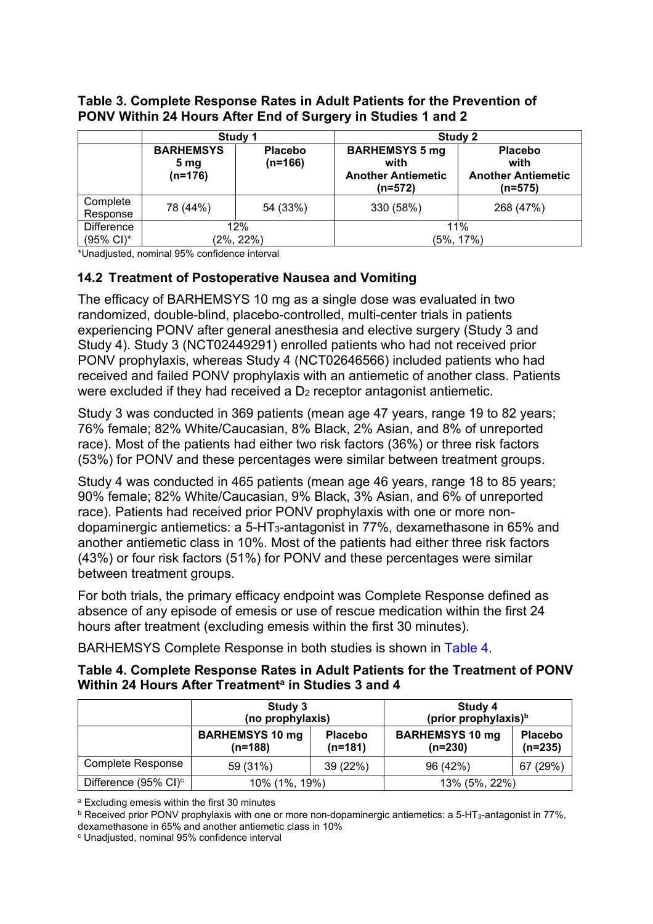<span id="page-10-1"></span>**Table 3. Complete Response Rates in Adult Patients for the Prevention of PONV Within 24 Hours After End of Surgery in Studies 1 and 2**

|                                | Study 1                                          |                             | <b>Study 2</b>                                                        |                                                                  |  |
|--------------------------------|--------------------------------------------------|-----------------------------|-----------------------------------------------------------------------|------------------------------------------------------------------|--|
|                                | <b>BARHEMSYS</b><br>5 <sub>mg</sub><br>$(n=176)$ | <b>Placebo</b><br>$(n=166)$ | <b>BARHEMSYS 5 mg</b><br>with<br><b>Another Antiemetic</b><br>(n=572) | <b>Placebo</b><br>with<br><b>Another Antiemetic</b><br>$(n=575)$ |  |
| Complete<br>Response           | 78 (44%)                                         | 54 (33%)                    | 330 (58%)                                                             | 268 (47%)                                                        |  |
| <b>Difference</b><br>(95% CI)* | 12%<br>$(2\%, 22\%)$                             |                             | 11%<br>$(5\%, 17\%)$                                                  |                                                                  |  |

\*Unadjusted, nominal 95% confidence interval

## <span id="page-10-0"></span>**14.2 Treatment of Postoperative Nausea and Vomiting**

The efficacy of BARHEMSYS 10 mg as a single dose was evaluated in two randomized, double-blind, placebo-controlled, multi-center trials in patients experiencing PONV after general anesthesia and elective surgery (Study 3 and Study 4). Study 3 (NCT02449291) enrolled patients who had not received prior PONV prophylaxis, whereas Study 4 (NCT02646566) included patients who had received and failed PONV prophylaxis with an antiemetic of another class. Patients were excluded if they had received a  $D_2$  receptor antagonist antiemetic.

Study 3 was conducted in 369 patients (mean age 47 years, range 19 to 82 years; 76% female; 82% White/Caucasian, 8% Black, 2% Asian, and 8% of unreported race). Most of the patients had either two risk factors (36%) or three risk factors (53%) for PONV and these percentages were similar between treatment groups.

Study 4 was conducted in 465 patients (mean age 46 years, range 18 to 85 years; 90% female; 82% White/Caucasian, 9% Black, 3% Asian, and 6% of unreported race). Patients had received prior PONV prophylaxis with one or more nondopaminergic antiemetics: a 5-HT3-antagonist in 77%, dexamethasone in 65% and another antiemetic class in 10%. Most of the patients had either three risk factors (43%) or four risk factors (51%) for PONV and these percentages were similar between treatment groups.

For both trials, the primary efficacy endpoint was Complete Response defined as absence of any episode of emesis or use of rescue medication within the first 24 hours after treatment (excluding emesis within the first 30 minutes).

BARHEMSYS Complete Response in both studies is shown in [Table 4.](#page-10-2)

#### <span id="page-10-2"></span>**Table 4. Complete Response Rates in Adult Patients for the Treatment of PONV Within 24 Hours After Treatmenta in Studies 3 and 4**

|                                  | Study 3<br>(no prophylaxis)       |                             | Study 4<br>(prior prophylaxis) <sup>b</sup> |                             |  |
|----------------------------------|-----------------------------------|-----------------------------|---------------------------------------------|-----------------------------|--|
|                                  | <b>BARHEMSYS 10 mg</b><br>(n=188) | <b>Placebo</b><br>$(n=181)$ | <b>BARHEMSYS 10 mg</b><br>$(n=230)$         | <b>Placebo</b><br>$(n=235)$ |  |
| <b>Complete Response</b>         | 59 (31%)                          | 39 (22%)                    | 96 (42%)                                    | 67 (29%)                    |  |
| Difference (95% CI) <sup>c</sup> | 10% (1%, 19%)                     |                             | 13% (5%, 22%)                               |                             |  |

<sup>a</sup> Excluding emesis within the first 30 minutes

b Received prior PONV prophylaxis with one or more non-dopaminergic antiemetics: a 5-HT<sub>3</sub>-antagonist in 77%,

dexamethasone in 65% and another antiemetic class in 10%

<sup>c</sup> Unadjusted, nominal 95% confidence interval